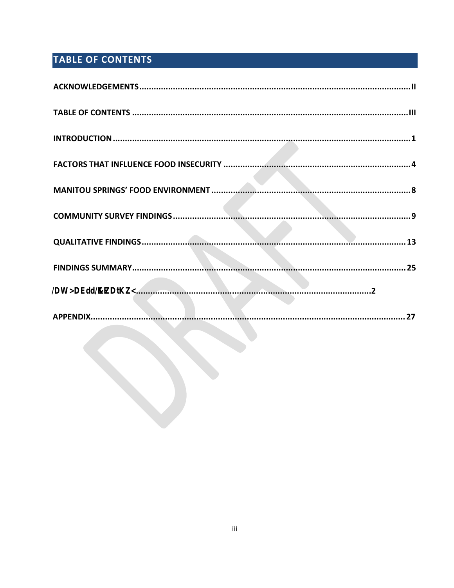# <span id="page-2-0"></span>TABLE OF CONTENTS

| 27 |  |
|----|--|
|    |  |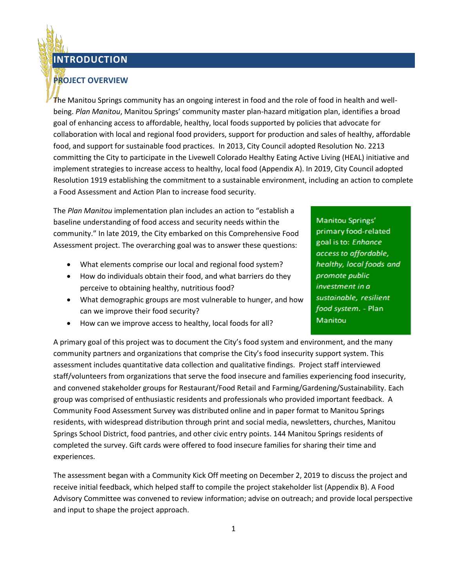### **INTRODUCTION**

### <span id="page-3-0"></span>**PROJECT OVERVIEW**

The Manitou Springs community has an ongoing interest in food and the role of food in health and wellbeing. *Plan Manitou*, Manitou Springs' community master plan-hazard mitigation plan, identifies a broad goal of enhancing access to affordable, healthy, local foods supported by policies that advocate for collaboration with local and regional food providers, support for production and sales of healthy, affordable food, and support for sustainable food practices. In 2013, City Council adopted Resolution No. 2213 committing the City to participate in the Livewell Colorado Healthy Eating Active Living (HEAL) initiative and implement strategies to increase access to healthy, local food (Appendix A). In 2019, City Council adopted Resolution 1919 establishing the commitment to a sustainable environment, including an action to complete a Food Assessment and Action Plan to increase food security.

The *Plan Manitou* implementation plan includes an action to "establish a baseline understanding of food access and security needs within the community." In late 2019, the City embarked on this Comprehensive Food Assessment project. The overarching goal was to answer these questions:

- What elements comprise our local and regional food system?
- How do individuals obtain their food, and what barriers do they perceive to obtaining healthy, nutritious food?
- What demographic groups are most vulnerable to hunger, and how can we improve their food security?
- How can we improve access to healthy, local foods for all?

A primary goal of this project was to document the City's food system and environment, and the many community partners and organizations that comprise the City's food insecurity support system. This assessment includes quantitative data collection and qualitative findings. Project staff interviewed staff/volunteers from organizations that serve the food insecure and families experiencing food insecurity, and convened stakeholder groups for Restaurant/Food Retail and Farming/Gardening/Sustainability. Each group was comprised of enthusiastic residents and professionals who provided important feedback. A Community Food Assessment Survey was distributed online and in paper format to Manitou Springs residents, with widespread distribution through print and social media, newsletters, churches, Manitou Springs School District, food pantries, and other civic entry points. 144 Manitou Springs residents of completed the survey. Gift cards were offered to food insecure families for sharing their time and experiences.

The assessment began with a Community Kick Off meeting on December 2, 2019 to discuss the project and receive initial feedback, which helped staff to compile the project stakeholder list (Appendix B). A Food Advisory Committee was convened to review information; advise on outreach; and provide local perspective and input to shape the project approach.

Manitou Springs' primary food-related goal is to: Enhance access to affordable, healthy, local foods and promote public investment in a sustainable, resilient food system. - Plan Manitou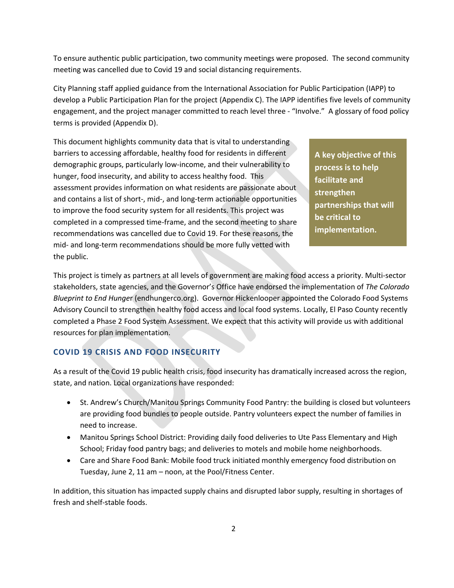To ensure authentic public participation, two community meetings were proposed. The second community meeting was cancelled due to Covid 19 and social distancing requirements.

City Planning staff applied guidance from the International Association for Public Participation (IAPP) to develop a Public Participation Plan for the project (Appendix C). The IAPP identifies five levels of community engagement, and the project manager committed to reach level three - "Involve." A glossary of food policy terms is provided (Appendix D).

This document highlights community data that is vital to understanding barriers to accessing affordable, healthy food for residents in different demographic groups, particularly low-income, and their vulnerability to hunger, food insecurity, and ability to access healthy food. This assessment provides information on what residents are passionate about and contains a list of short-, mid-, and long-term actionable opportunities to improve the food security system for all residents. This project was completed in a compressed time-frame, and the second meeting to share recommendations was cancelled due to Covid 19. For these reasons, the mid- and long-term recommendations should be more fully vetted with the public.

**A key objective of this process is to help facilitate and strengthen partnerships that will be critical to implementation.**

This project is timely as partners at all levels of government are making food access a priority. Multi-sector stakeholders, state agencies, and the Governor's Office have endorsed the implementation of *The Colorado Blueprint to End Hunge*r (endhungerco.org). Governor Hickenlooper appointed the Colorado Food Systems Advisory Council to strengthen healthy food access and local food systems. Locally, El Paso County recently completed a Phase 2 Food System Assessment. We expect that this activity will provide us with additional resources for plan implementation.

### **COVID 19 CRISIS AND FOOD INSECURITY**

As a result of the Covid 19 public health crisis, food insecurity has dramatically increased across the region, state, and nation. Local organizations have responded:

- St. Andrew's Church/Manitou Springs Community Food Pantry: the building is closed but volunteers are providing food bundles to people outside. Pantry volunteers expect the number of families in need to increase.
- Manitou Springs School District: Providing daily food deliveries to Ute Pass Elementary and High School; Friday food pantry bags; and deliveries to motels and mobile home neighborhoods.
- Care and Share Food Bank: Mobile food truck initiated monthly emergency food distribution on Tuesday, June 2, 11 am – noon, at the Pool/Fitness Center.

In addition, this situation has impacted supply chains and disrupted labor supply, resulting in shortages of fresh and shelf-stable foods.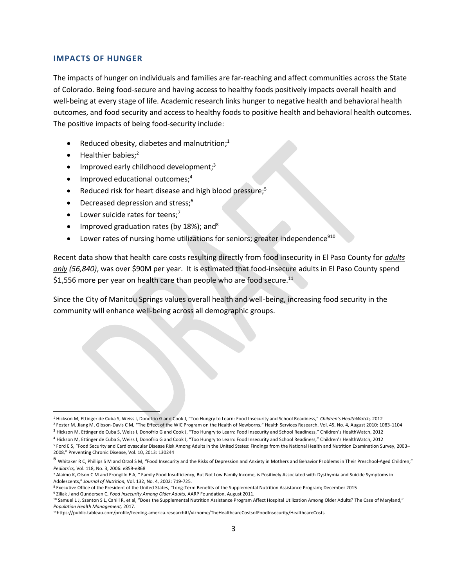#### **IMPACTS OF HUNGER**

The impacts of hunger on individuals and families are far-reaching and affect communities across the State of Colorado. Being food-secure and having access to healthy foods positively impacts overall health and well-being at every stage of life. Academic research links hunger to negative health and behavioral health outcomes, and food security and access to healthy foods to positive health and behavioral health outcomes. The positive impacts of being food-security include:

- Reduced obesity, diabetes and malnutrition;<sup>1</sup>
- Healthier babies;<sup>2</sup>
- Improved early childhood development;<sup>3</sup>
- Improved educational outcomes;<sup>4</sup>
- Reduced risk for heart disease and high blood pressure;<sup>5</sup>
- Decreased depression and stress;<sup>6</sup>
- Lower suicide rates for teens;<sup>7</sup>
- Improved graduation rates (by  $18\%$ ); and<sup>8</sup>
- Lower rates of nursing home utilizations for seniors; greater independence<sup>910</sup>

Recent data show that health care costs resulting directly from food insecurity in El Paso County for *adults only (56,840)*, was over \$90M per year. It is estimated that food-insecure adults in El Paso County spend \$1,556 more per year on health care than people who are food secure.<sup>11</sup>

Since the City of Manitou Springs values overall health and well-being, increasing food security in the community will enhance well-being across all demographic groups.

<sup>1</sup> Hickson M, Ettinger de Cuba S, Weiss I, Donofrio G and Cook J, "Too Hungry to Learn: Food Insecurity and School Readiness," *Children's HealthWatch,* 2012 <sup>2</sup> Foster M, Jiang M, Gibson-Davis C M, "The Effect of the WIC Program on the Health of Newborns," Health Services Research, Vol. 45, No. 4, August 2010: 1083-1104

<sup>&</sup>lt;sup>3</sup> Hickson M, Ettinger de Cuba S, Weiss I, Donofrio G and Cook J, "Too Hungry to Learn: Food Insecurity and School Readiness," Children's HealthWatch, 2012

<sup>4</sup> Hickson M, Ettinger de Cuba S, Weiss I, Donofrio G and Cook J, "Too Hungry to Learn: Food Insecurity and School Readiness," Children's HealthWatch, 2012

<sup>5</sup> Ford E S, "Food Security and Cardiovascular Disease Risk Among Adults in the United States: Findings from the National Health and Nutrition Examination Survey, 2003– 2008," Preventing Chronic Disease, Vol. 10, 2013: 130244

<sup>6</sup> Whitaker R C, Phillips S M and Orzol S M, "Food Insecurity and the Risks of Depression and Anxiety in Mothers and Behavior Problems in Their Preschool-Aged Children," *Pediatrics,* Vol. 118, No. 3, 2006: e859-e868

<sup>7</sup> Alaimo K, Olson C M and Frongillo E A, " Family Food Insufficiency, But Not Low Family Income, is Positively Associated with Dysthymia and Suicide Symptoms in Adolescents," *Journal of Nutrition,* Vol. 132, No. 4, 2002: 719-725.

<sup>8</sup> Executive Office of the President of the United States, "Long-Term Benefits of the Supplemental Nutrition Assistance Program; December 2015

<sup>9</sup> Ziliak J and Gundersen C, *Food Insecurity Among Older Adults,* AARP Foundation, August 2011.

<sup>10</sup> Samuel L J, Szanton S L, Cahill R, et al, "Does the Supplemental Nutrition Assistance Program Affect Hospital Utilization Among Older Adults? The Case of Maryland," *Population Health Management,* 2017.

<sup>11</sup>https://public.tableau.com/profile/feeding.america.research#!/vizhome/TheHealthcareCostsofFoodInsecurity/HealthcareCosts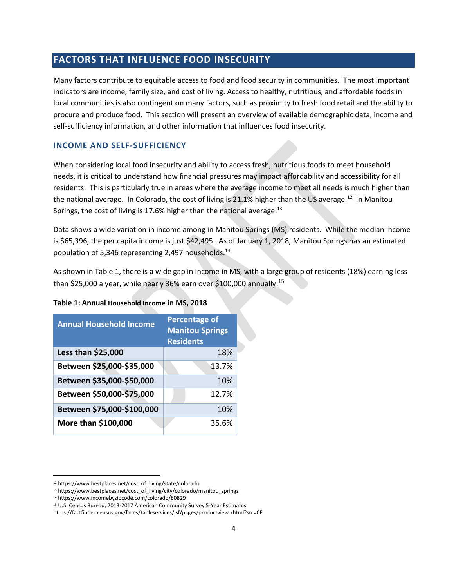### <span id="page-6-0"></span>**FACTORS THAT INFLUENCE FOOD INSECURITY**

Many factors contribute to equitable access to food and food security in communities. The most important indicators are income, family size, and cost of living. Access to healthy, nutritious, and affordable foods in local communities is also contingent on many factors, such as proximity to fresh food retail and the ability to procure and produce food. This section will present an overview of available demographic data, income and self-sufficiency information, and other information that influences food insecurity.

#### **INCOME AND SELF-SUFFICIENCY**

When considering local food insecurity and ability to access fresh, nutritious foods to meet household needs, it is critical to understand how financial pressures may impact affordability and accessibility for all residents. This is particularly true in areas where the average income to meet all needs is much higher than the national average. In Colorado, the cost of living is 21.1% higher than the US average.<sup>12</sup> In Manitou Springs, the cost of living is 17.6% higher than the national average. $^{13}$ 

Data shows a wide variation in income among in Manitou Springs (MS) residents. While the median income is \$65,396, the per capita income is just \$42,495. As of January 1, 2018, Manitou Springs has an estimated population of 5,346 representing 2,497 households.<sup>14</sup>

As shown in Table 1, there is a wide gap in income in MS, with a large group of residents (18%) earning less than \$25,000 a year, while nearly 36% earn over \$100,000 annually.<sup>15</sup>

| <b>Annual Household Income</b> | <b>Percentage of</b><br><b>Manitou Springs</b><br><b>Residents</b> |  |
|--------------------------------|--------------------------------------------------------------------|--|
| Less than \$25,000             | 18%                                                                |  |
| Between \$25,000-\$35,000      | 13.7%                                                              |  |
| Between \$35,000-\$50,000      | 10%                                                                |  |
| Between \$50,000-\$75,000      | 12.7%                                                              |  |
| Between \$75,000-\$100,000     | 10%                                                                |  |
| More than \$100,000            | 35.6%                                                              |  |

#### **Table 1: Annual Household Income in MS, 2018**

<sup>12</sup> https://www.bestplaces.net/cost\_of\_living/state/colorado

<sup>13</sup> https://www.bestplaces.net/cost\_of\_living/city/colorado/manitou\_springs

<sup>14</sup> https://www.incomebyzipcode.com/colorado/80829

<sup>15</sup> U.S. Census Bureau, 2013-2017 American Community Survey 5-Year Estimates,

https://factfinder.census.gov/faces/tableservices/jsf/pages/productview.xhtml?src=CF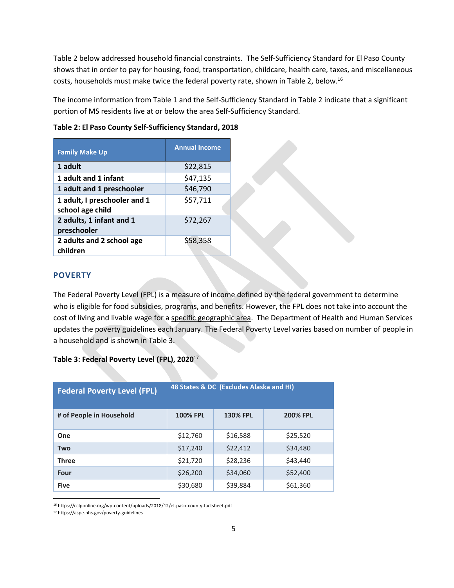Table 2 below addressed household financial constraints. The Self-Sufficiency Standard for El Paso County shows that in order to pay for housing, food, transportation, childcare, health care, taxes, and miscellaneous costs, households must make twice the federal poverty rate, shown in Table 2, below.<sup>16</sup>

The income information from Table 1 and the Self-Sufficiency Standard in Table 2 indicate that a significant portion of MS residents live at or below the area Self-Sufficiency Standard.

| <b>Family Make Up</b>                            | <b>Annual Income</b> |
|--------------------------------------------------|----------------------|
| 1 adult                                          | \$22,815             |
| 1 adult and 1 infant                             | \$47,135             |
| 1 adult and 1 preschooler                        | \$46,790             |
| 1 adult, I preschooler and 1<br>school age child | \$57,711             |
| 2 adults, 1 infant and 1<br>preschooler          | \$72,267             |
| 2 adults and 2 school age<br>children            | \$58,358             |

#### **Table 2: El Paso County Self-Sufficiency Standard, 2018**

#### **POVERTY**

The Federal Poverty Level (FPL) is a measure of income defined by the federal government to determine who is eligible for food subsidies, programs, and benefits. However, the FPL does not take into account the cost of living and livable wage for a specific geographic area. The Department of Health and Human Services updates the poverty guidelines each January. The Federal Poverty Level varies based on number of people in a household and is shown in Table 3.

#### **Table 3: Federal Poverty Level (FPL), 2020**<sup>17</sup>

| <b>Federal Poverty Level (FPL)</b> | 48 States & DC (Excludes Alaska and HI) |                 |                 |
|------------------------------------|-----------------------------------------|-----------------|-----------------|
| # of People in Household           | <b>100% FPL</b>                         | <b>130% FPL</b> | <b>200% FPL</b> |
| One                                | \$12,760                                | \$16,588        | \$25,520        |
| <b>Two</b>                         | \$17,240                                | \$22,412        | \$34,480        |
| <b>Three</b>                       | \$21,720                                | \$28,236        | \$43,440        |
| Four                               | \$26,200                                | \$34,060        | \$52,400        |
| <b>Five</b>                        | \$30,680                                | \$39,884        | \$61,360        |

<sup>16</sup> https://cclponline.org/wp-content/uploads/2018/12/el-paso-county-factsheet.pdf

<sup>17</sup> https://aspe.hhs.gov/poverty-guidelines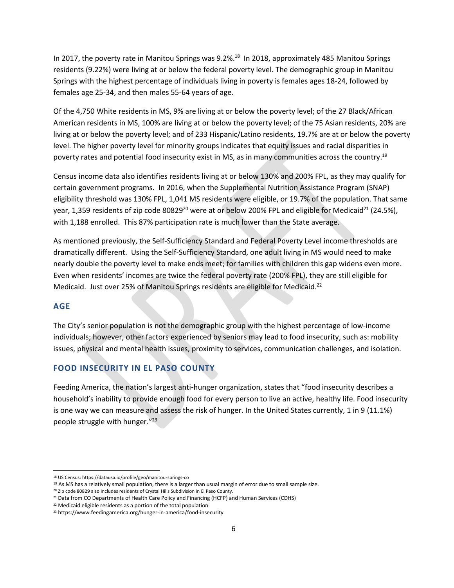In 2017, the poverty rate in Manitou Springs was 9.2%.<sup>18</sup> In 2018, approximately 485 Manitou Springs residents (9.22%) were living at or below the federal poverty level. The demographic group in Manitou Springs with the highest percentage of individuals living in poverty is females ages 18-24, followed by females age 25-34, and then males 55-64 years of age.

Of the 4,750 White residents in MS, 9% are living at or below the poverty level; of the 27 Black/African American residents in MS, 100% are living at or below the poverty level; of the 75 Asian residents, 20% are living at or below the poverty level; and of 233 Hispanic/Latino residents, 19.7% are at or below the poverty level. The higher poverty level for minority groups indicates that equity issues and racial disparities in poverty rates and potential food insecurity exist in MS, as in many communities across the country. 19

Census income data also identifies residents living at or below 130% and 200% FPL, as they may qualify for certain government programs. In 2016, when the Supplemental Nutrition Assistance Program (SNAP) eligibility threshold was 130% FPL, 1,041 MS residents were eligible, or 19.7% of the population. That same year, 1,359 residents of zip code 80829<sup>20</sup> were at or below 200% FPL and eligible for Medicaid<sup>21</sup> (24.5%), with 1,188 enrolled. This 87% participation rate is much lower than the State average.

As mentioned previously, the Self-Sufficiency Standard and Federal Poverty Level income thresholds are dramatically different. Using the Self-Sufficiency Standard, one adult living in MS would need to make nearly double the poverty level to make ends meet; for families with children this gap widens even more. Even when residents' incomes are twice the federal poverty rate (200% FPL), they are still eligible for Medicaid. Just over 25% of Manitou Springs residents are eligible for Medicaid.<sup>22</sup>

#### **AGE**

The City's senior population is not the demographic group with the highest percentage of low-income individuals; however, other factors experienced by seniors may lead to food insecurity, such as: mobility issues, physical and mental health issues, proximity to services, communication challenges, and isolation.

### **FOOD INSECURITY IN EL PASO COUNTY**

Feeding America, the nation's largest anti-hunger organization, states that "food insecurity describes a household's inability to provide enough food for every person to live an active, healthy life. Food insecurity is one way we can measure and assess the risk of hunger. In the United States currently, 1 in 9 (11.1%) people struggle with hunger." 23

<sup>18</sup> US Census: https://datausa.io/profile/geo/manitou-springs-co

 $19$  As MS has a relatively small population, there is a larger than usual margin of error due to small sample size.

<sup>&</sup>lt;sup>20</sup> Zip code 80829 also includes residents of Crystal Hills Subdivision in El Paso County.

<sup>21</sup> Data from CO Departments of Health Care Policy and Financing (HCFP) and Human Services (CDHS)

<sup>22</sup> Medicaid eligible residents as a portion of the total population

<sup>23</sup> https://www.feedingamerica.org/hunger-in-america/food-insecurity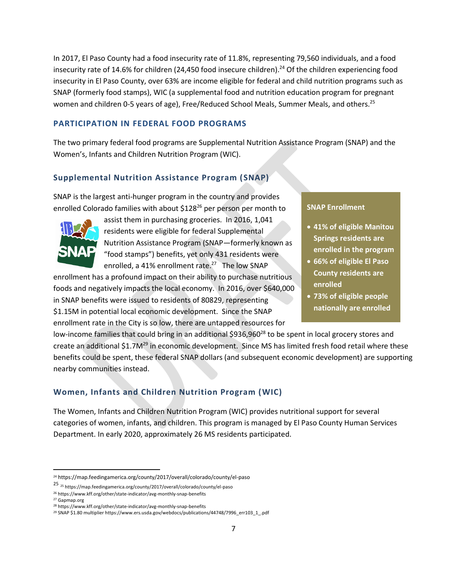In 2017, El Paso County had a food insecurity rate of 11.8%, representing 79,560 individuals, and a food insecurity rate of 14.6% for children (24,450 food insecure children).<sup>24</sup> Of the children experiencing food insecurity in El Paso County, over 63% are income eligible for federal and child nutrition programs such as SNAP (formerly food stamps), WIC (a supplemental food and nutrition education program for pregnant women and children 0-5 years of age), Free/Reduced School Meals, Summer Meals, and others.<sup>25</sup>

#### **PARTICIPATION IN FEDERAL FOOD PROGRAMS**

The two primary federal food programs are Supplemental Nutrition Assistance Program (SNAP) and the Women's, Infants and Children Nutrition Program (WIC).

### **Supplemental Nutrition Assistance Program (SNAP)**

SNAP is the largest anti-hunger program in the country and provides enrolled Colorado families with about \$128<sup>26</sup> per person per month to



assist them in purchasing groceries. In 2016, 1,041 residents were eligible for federal Supplemental Nutrition Assistance Program (SNAP—formerly known as "food stamps") benefits, yet only 431 residents were enrolled, a 41% enrollment rate.<sup>27</sup> The low SNAP

enrollment has a profound impact on their ability to purchase nutritious foods and negatively impacts the local economy. In 2016, over \$640,000 in SNAP benefits were issued to residents of 80829, representing \$1.15M in potential local economic development. Since the SNAP enrollment rate in the City is so low, there are untapped resources for

#### **SNAP Enrollment**

- **41% of eligible Manitou Springs residents are enrolled in the program**
- **66% of eligible El Paso County residents are enrolled**
- **73% of eligible people nationally are enrolled**

low-income families that could bring in an additional \$936,960<sup>28</sup> to be spent in local grocery stores and create an additional \$1.7M<sup>29</sup> in economic development. Since MS has limited fresh food retail where these benefits could be spent, these federal SNAP dollars (and subsequent economic development) are supporting nearby communities instead.

### **Women, Infants and Children Nutrition Program (WIC)**

The Women, Infants and Children Nutrition Program (WIC) provides nutritional support for several categories of women, infants, and children. This program is managed by El Paso County Human Services Department. In early 2020, approximately 26 MS residents participated.

<sup>24</sup> https://map.feedingamerica.org/county/2017/overall/colorado/county/el-paso

<sup>25</sup> <sup>25</sup> https://map.feedingamerica.org/county/2017/overall/colorado/county/el-paso

<sup>26</sup> https://www.kff.org/other/state-indicator/avg-monthly-snap-benefits

<sup>27</sup> Gapmap.org

<sup>28</sup> https://www.kff.org/other/state-indicator/avg-monthly-snap-benefits

<sup>&</sup>lt;sup>29</sup> SNAP \$1.80 multiplier https://www.ers.usda.gov/webdocs/publications/44748/7996\_err103\_1\_.pdf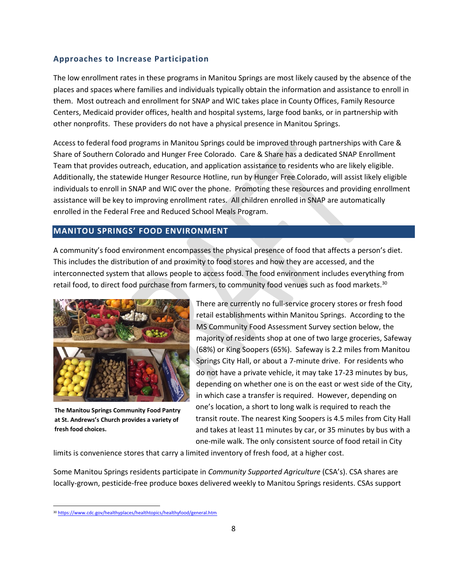#### **Approaches to Increase Participation**

The low enrollment rates in these programs in Manitou Springs are most likely caused by the absence of the places and spaces where families and individuals typically obtain the information and assistance to enroll in them. Most outreach and enrollment for SNAP and WIC takes place in County Offices, Family Resource Centers, Medicaid provider offices, health and hospital systems, large food banks, or in partnership with other nonprofits. These providers do not have a physical presence in Manitou Springs.

Access to federal food programs in Manitou Springs could be improved through partnerships with Care & Share of Southern Colorado and Hunger Free Colorado. Care & Share has a dedicated SNAP Enrollment Team that provides outreach, education, and application assistance to residents who are likely eligible. Additionally, the statewide Hunger Resource Hotline, run by Hunger Free Colorado, will assist likely eligible individuals to enroll in SNAP and WIC over the phone. Promoting these resources and providing enrollment assistance will be key to improving enrollment rates. All children enrolled in SNAP are automatically enrolled in the Federal Free and Reduced School Meals Program.

#### <span id="page-10-0"></span>**MANITOU SPRINGS' FOOD ENVIRONMENT**

A community's food environment encompasses the physical presence of food that affects a person's diet. This includes the distribution of and proximity to food stores and how they are accessed, and the interconnected system that allows people to access food. The food environment includes everything from retail food, to direct food purchase from farmers, to community food venues such as food markets.<sup>30</sup>



**The Manitou Springs Community Food Pantry at St. Andrews's Church provides a variety of fresh food choices.**

There are currently no full-service grocery stores or fresh food retail establishments within Manitou Springs. According to the MS Community Food Assessment Survey section below, the majority of residents shop at one of two large groceries, Safeway (68%) or King Soopers (65%). Safeway is 2.2 miles from Manitou Springs City Hall, or about a 7-minute drive. For residents who do not have a private vehicle, it may take 17-23 minutes by bus, depending on whether one is on the east or west side of the City, in which case a transfer is required. However, depending on one's location, a short to long walk is required to reach the transit route. The nearest King Soopers is 4.5 miles from City Hall and takes at least 11 minutes by car, or 35 minutes by bus with a one-mile walk. The only consistent source of food retail in City

limits is convenience stores that carry a limited inventory of fresh food, at a higher cost.

Some Manitou Springs residents participate in *Community Supported Agriculture* (CSA's). CSA shares are locally-grown, pesticide-free produce boxes delivered weekly to Manitou Springs residents. CSAs support

<sup>30</sup> <https://www.cdc.gov/healthyplaces/healthtopics/healthyfood/general.htm>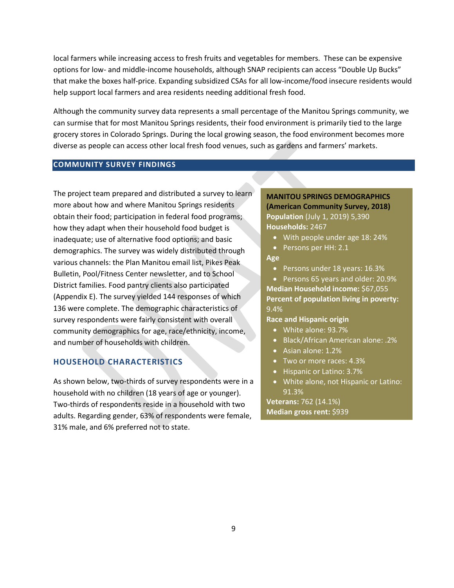local farmers while increasing access to fresh fruits and vegetables for members. These can be expensive options for low- and middle-income households, although SNAP recipients can access "Double Up Bucks" that make the boxes half-price. Expanding subsidized CSAs for all low-income/food insecure residents would help support local farmers and area residents needing additional fresh food.

Although the community survey data represents a small percentage of the Manitou Springs community, we can surmise that for most Manitou Springs residents, their food environment is primarily tied to the large grocery stores in Colorado Springs. During the local growing season, the food environment becomes more diverse as people can access other local fresh food venues, such as gardens and farmers' markets.

#### <span id="page-11-0"></span>**COMMUNITY SURVEY FINDINGS**

The project team prepared and distributed a survey to learn more about how and where Manitou Springs residents obtain their food; participation in federal food programs; how they adapt when their household food budget is inadequate; use of alternative food options; and basic demographics. The survey was widely distributed through various channels: the Plan Manitou email list, Pikes Peak Bulletin, Pool/Fitness Center newsletter, and to School District families. Food pantry clients also participated (Appendix E). The survey yielded 144 responses of which 136 were complete. The demographic characteristics of survey respondents were fairly consistent with overall community demographics for age, race/ethnicity, income, and number of households with children.

#### **HOUSEHOLD CHARACTERISTICS**

As shown below, two-thirds of survey respondents were in a household with no children (18 years of age or younger). Two-thirds of respondents reside in a household with two adults. Regarding gender, 63% of respondents were female, 31% male, and 6% preferred not to state.

### **MANITOU SPRINGS DEMOGRAPHICS (American Community Survey, 2018) Population** (July 1, 2019) 5,390 **Households:** 2467

- With people under age 18: 24%
- Persons per HH: 2.1

#### **Age**

• Persons under 18 years: 16.3%

• Persons 65 years and older: 20.9% **Median Household income:** \$67,055 **Percent of population living in poverty:**  9.4%

**Race and Hispanic origin**

- White alone: 93.7%
- Black/African American alone: .2%
- Asian alone: 1.2%
- Two or more races: 4.3%
- Hispanic or Latino: 3.7%
- White alone, not Hispanic or Latino: 91.3%

**Veterans:** 762 (14.1%) **Median gross rent:** \$939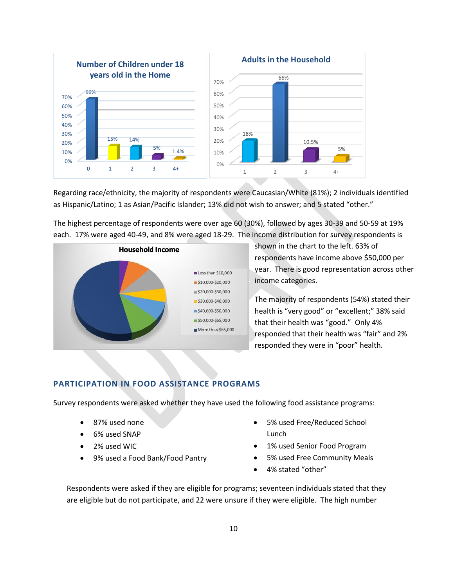

Regarding race/ethnicity, the majority of respondents were Caucasian/White (81%); 2 individuals identified as Hispanic/Latino; 1 as Asian/Pacific Islander; 13% did not wish to answer; and 5 stated "other."

The highest percentage of respondents were over age 60 (30%), followed by ages 30-39 and 50-59 at 19% each. 17% were aged 40-49, and 8% were aged 18-29. The income distribution for survey respondents is



shown in the chart to the left. 63% of respondents have income above \$50,000 per year. There is good representation across other income categories.

The majority of respondents (54%) stated their health is "very good" or "excellent;" 38% said that their health was "good." Only 4% responded that their health was "fair" and 2% responded they were in "poor" health.

#### **PARTICIPATION IN FOOD ASSISTANCE PROGRAMS**

Survey respondents were asked whether they have used the following food assistance programs:

- 87% used none
- 6% used SNAP
- 2% used WIC
- 9% used a Food Bank/Food Pantry
- 5% used Free/Reduced School Lunch
- 1% used Senior Food Program
- 5% used Free Community Meals
- 4% stated "other"

Respondents were asked if they are eligible for programs; seventeen individuals stated that they are eligible but do not participate, and 22 were unsure if they were eligible. The high number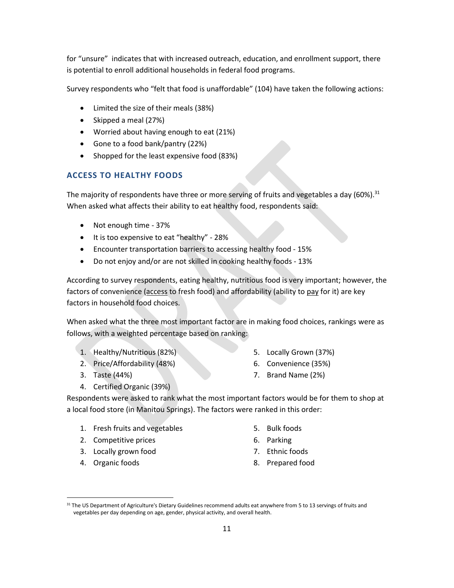for "unsure" indicates that with increased outreach, education, and enrollment support, there is potential to enroll additional households in federal food programs.

Survey respondents who "felt that food is unaffordable" (104) have taken the following actions:

- Limited the size of their meals (38%)
- Skipped a meal (27%)
- Worried about having enough to eat (21%)
- Gone to a food bank/pantry (22%)
- Shopped for the least expensive food (83%)

### **ACCESS TO HEALTHY FOODS**

The majority of respondents have three or more serving of fruits and vegetables a day (60%).<sup>31</sup> When asked what affects their ability to eat healthy food, respondents said:

- Not enough time 37%
- It is too expensive to eat "healthy" 28%
- Encounter transportation barriers to accessing healthy food 15%
- Do not enjoy and/or are not skilled in cooking healthy foods 13%

According to survey respondents, eating healthy, nutritious food is very important; however, the factors of convenience (access to fresh food) and affordability (ability to pay for it) are key factors in household food choices.

When asked what the three most important factor are in making food choices, rankings were as follows, with a weighted percentage based on ranking:

- 1. Healthy/Nutritious (82%)
- 2. Price/Affordability (48%)
- 3. Taste (44%)
- 4. Certified Organic (39%)
- 5. Locally Grown (37%)
- 6. Convenience (35%)
- 7. Brand Name (2%)

Respondents were asked to rank what the most important factors would be for them to shop at a local food store (in Manitou Springs). The factors were ranked in this order:

- 1. Fresh fruits and vegetables
- 2. Competitive prices
- 3. Locally grown food
- 4. Organic foods
- 5. Bulk foods
- 6. Parking
- 7. Ethnic foods
- 8. Prepared food

<sup>31</sup> The US Department of Agriculture's Dietary Guidelines recommend adults eat anywhere from 5 to 13 servings of fruits and vegetables per day depending on age, gender, physical activity, and overall health.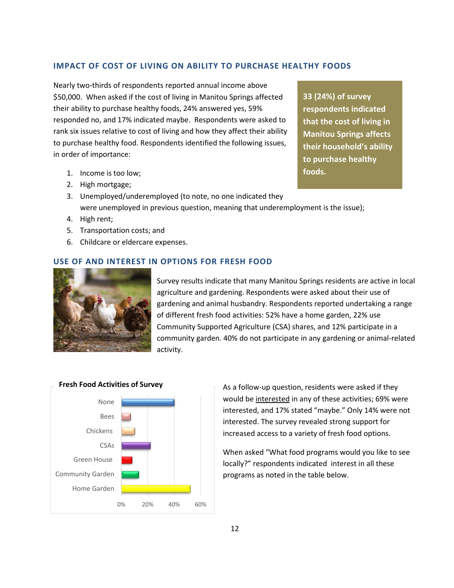#### **IMPACT OF COST OF LIVING ON ABILITY TO PURCHASE HEALTHY FOODS**

Nearly two-thirds of respondents reported annual income above \$50,000. When asked if the cost of living in Manitou Springs affected their ability to purchase healthy foods, 24% answered yes, 59% responded no, and 17% indicated maybe. Respondents were asked to rank six issues relative to cost of living and how they affect their ability to purchase healthy food. Respondents identified the following issues, in order of importance:

- 1. Income is too low;
- 2. High mortgage;
- 3. Unemployed/underemployed (to note, no one indicated they were unemployed in previous question, meaning that underemployment is the issue);
- 4. High rent;
- 5. Transportation costs; and
- 6. Childcare or eldercare expenses.

#### **USE OF AND INTEREST IN OPTIONS FOR FRESH FOOD**



Survey results indicate that many Manitou Springs residents are active in local agriculture and gardening. Respondents were asked about their use of gardening and animal husbandry. Respondents reported undertaking a range of different fresh food activities: 52% have a home garden, 22% use Community Supported Agriculture (CSA) shares, and 12% participate in a community garden. 40% do not participate in any gardening or animal-related activity.



As a follow-up question, residents were asked if they would be interested in any of these activities; 69% were interested, and 17% stated "maybe." Only 14% were not interested. The survey revealed strong support for increased access to a variety of fresh food options.

When asked "What food programs would you like to see locally?" respondents indicated interest in all these programs as noted in the table below.

**33 (24%) of survey respondents indicated that the cost of living in Manitou Springs affects their household's ability to purchase healthy foods.**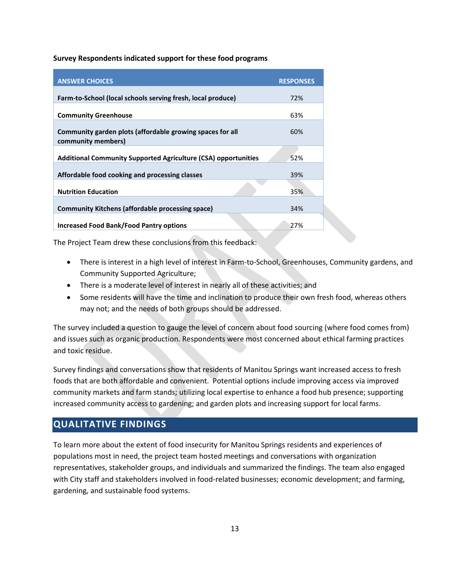#### **Survey Respondents indicated support for these food programs**

| <b>ANSWER CHOICES</b>                                                           | <b>RESPONSES</b> |
|---------------------------------------------------------------------------------|------------------|
| Farm-to-School (local schools serving fresh, local produce)                     | 72%              |
| <b>Community Greenhouse</b>                                                     | 63%              |
| Community garden plots (affordable growing spaces for all<br>community members) | 60%              |
| <b>Additional Community Supported Agriculture (CSA) opportunities</b>           | 52%              |
| Affordable food cooking and processing classes                                  | 39%              |
| <b>Nutrition Education</b>                                                      | 35%              |
| <b>Community Kitchens (affordable processing space)</b>                         | 34%              |
| <b>Increased Food Bank/Food Pantry options</b>                                  | 27%              |

The Project Team drew these conclusions from this feedback:

- There is interest in a high level of interest in Farm-to-School, Greenhouses, Community gardens, and Community Supported Agriculture;
- There is a moderate level of interest in nearly all of these activities; and
- Some residents will have the time and inclination to produce their own fresh food, whereas others may not; and the needs of both groups should be addressed.

The survey included a question to gauge the level of concern about food sourcing (where food comes from) and issues such as organic production. Respondents were most concerned about ethical farming practices and toxic residue.

Survey findings and conversations show that residents of Manitou Springs want increased access to fresh foods that are both affordable and convenient. Potential options include improving access via improved community markets and farm stands; utilizing local expertise to enhance a food hub presence; supporting increased community access to gardening; and garden plots and increasing support for local farms.

### <span id="page-15-0"></span>**QUALITATIVE FINDINGS**

To learn more about the extent of food insecurity for Manitou Springs residents and experiences of populations most in need, the project team hosted meetings and conversations with organization representatives, stakeholder groups, and individuals and summarized the findings. The team also engaged with City staff and stakeholders involved in food-related businesses; economic development; and farming, gardening, and sustainable food systems.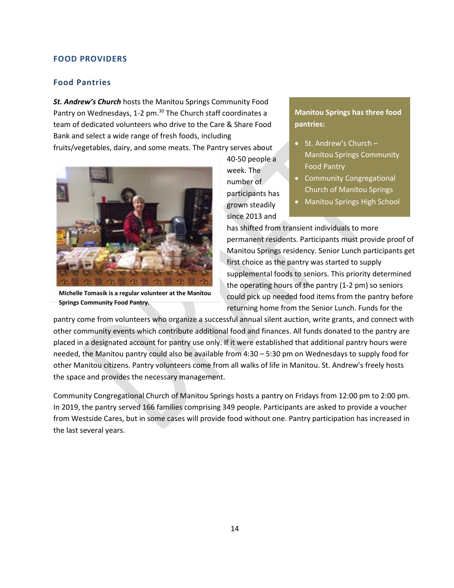#### **FOOD PROVIDERS**

#### **Food Pantries**

*St. Andrew's Church* hosts the Manitou Springs Community Food Pantry on Wednesdays, 1-2 pm.<sup>30</sup> The Church staff coordinates a team of dedicated volunteers who drive to the Care & Share Food Bank and select a wide range of fresh foods, including fruits/vegetables, dairy, and some meats. The Pantry serves about



**Michelle Tomasik is a regular volunteer at the Manitou Springs Community Food Pantry.**

40-50 people a week. The number of participants has grown steadily since 2013 and

#### **Manitou Springs has three food pantries:**

- St. Andrew's Church Manitou Springs Community Food Pantry
- Community Congregational Church of Manitou Springs
- Manitou Springs High School

has shifted from transient individuals to more permanent residents. Participants must provide proof of Manitou Springs residency. Senior Lunch participants get first choice as the pantry was started to supply supplemental foods to seniors. This priority determined the operating hours of the pantry (1-2 pm) so seniors could pick up needed food items from the pantry before returning home from the Senior Lunch. Funds for the

pantry come from volunteers who organize a successful annual silent auction, write grants, and connect with other community events which contribute additional food and finances. All funds donated to the pantry are placed in a designated account for pantry use only. If it were established that additional pantry hours were needed, the Manitou pantry could also be available from 4:30 – 5:30 pm on Wednesdays to supply food for other Manitou citizens. Pantry volunteers come from all walks of life in Manitou. St. Andrew's freely hosts the space and provides the necessary management.

Community Congregational Church of Manitou Springs hosts a pantry on Fridays from 12:00 pm to 2:00 pm. In 2019, the pantry served 166 families comprising 349 people. Participants are asked to provide a voucher from Westside Cares, but in some cases will provide food without one. Pantry participation has increased in the last several years.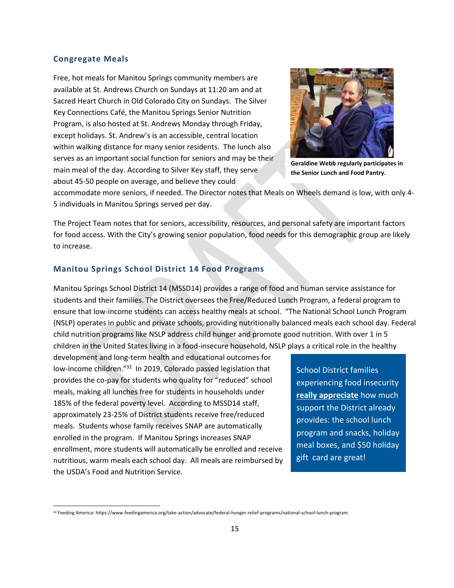#### **Congregate Meals**

Free, hot meals for Manitou Springs community members are available at St. Andrews Church on Sundays at 11:20 am and at Sacred Heart Church in Old Colorado City on Sundays. The Silver Key Connections Café, the Manitou Springs Senior Nutrition Program, is also hosted at St. Andrews Monday through Friday, except holidays. St. Andrew's is an accessible, central location within walking distance for many senior residents. The lunch also serves as an important social function for seniors and may be their main meal of the day. According to Silver Key staff, they serve about 45-50 people on average, and believe they could



**Geraldine Webb regularly participates in the Senior Lunch and Food Pantry.**

accommodate more seniors, if needed. The Director notes that Meals on Wheels demand is low, with only 4- 5 individuals in Manitou Springs served per day.

The Project Team notes that for seniors, accessibility, resources, and personal safety are important factors for food access. With the City's growing senior population, food needs for this demographic group are likely to increase.

#### **Manitou Springs School District 14 Food Programs**

Manitou Springs School District 14 (MSSD14) provides a range of food and human service assistance for students and their families. The District oversees the Free/Reduced Lunch Program, a federal program to ensure that low-income students can access healthy meals at school. "The National School Lunch Program (NSLP) operates in public and private schools, providing nutritionally balanced meals each school day. Federal child nutrition programs like NSLP address child hunger and promote good nutrition. With over 1 in 5 children in the United States living in a food-insecure household, NSLP plays a critical role in the healthy

development and long-term health and educational outcomes for low-income children."<sup>32</sup> In 2019, Colorado passed legislation that provides the co-pay for students who quality for "reduced" school meals, making all lunches free for students in households under 185% of the federal poverty level. According to MSSD14 staff, approximately 23-25% of District students receive free/reduced meals. Students whose family receives SNAP are automatically enrolled in the program. If Manitou Springs increases SNAP enrollment, more students will automatically be enrolled and receive nutritious, warm meals each school day. All meals are reimbursed by the USDA's Food and Nutrition Service.

School District families experiencing food insecurity **really appreciate** how much support the District already provides: the school lunch program and snacks, holiday meal boxes, and \$50 holiday gift card are great!

<sup>32</sup> Feeding America: https://www.feedingamerica.org/take-action/advocate/federal-hunger-relief-programs/national-school-lunch-program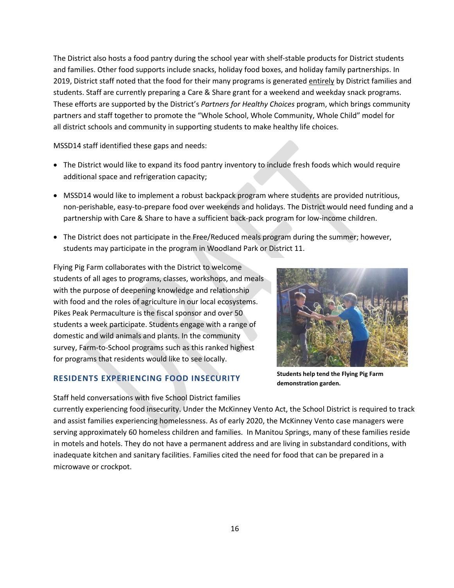The District also hosts a food pantry during the school year with shelf-stable products for District students and families. Other food supports include snacks, holiday food boxes, and holiday family partnerships. In 2019, District staff noted that the food for their many programs is generated entirely by District families and students. Staff are currently preparing a Care & Share grant for a weekend and weekday snack programs. These efforts are supported by the District's *Partners for Healthy Choices* program, which brings community partners and staff together to promote the "Whole School, Whole Community, Whole Child" model for all district schools and community in supporting students to make healthy life choices.

MSSD14 staff identified these gaps and needs:

- The District would like to expand its food pantry inventory to include fresh foods which would require additional space and refrigeration capacity;
- MSSD14 would like to implement a robust backpack program where students are provided nutritious, non-perishable, easy-to-prepare food over weekends and holidays. The District would need funding and a partnership with Care & Share to have a sufficient back-pack program for low-income children.
- The District does not participate in the Free/Reduced meals program during the summer; however, students may participate in the program in Woodland Park or District 11.

Flying Pig Farm collaborates with the District to welcome students of all ages to programs, classes, workshops, and meals with the purpose of deepening knowledge and relationship with food and the roles of agriculture in our local ecosystems. Pikes Peak Permaculture is the fiscal sponsor and over 50 students a week participate. Students engage with a range of domestic and wild animals and plants. In the community survey, Farm-to-School programs such as this ranked highest for programs that residents would like to see locally.

#### **RESIDENTS EXPERIENCING FOOD INSECURITY**

Staff held conversations with five School District families



**Students help tend the Flying Pig Farm demonstration garden.**

currently experiencing food insecurity. Under the McKinney Vento Act, the School District is required to track and assist families experiencing homelessness. As of early 2020, the McKinney Vento case managers were serving approximately 60 homeless children and families. In Manitou Springs, many of these families reside in motels and hotels. They do not have a permanent address and are living in substandard conditions, with inadequate kitchen and sanitary facilities. Families cited the need for food that can be prepared in a microwave or crockpot.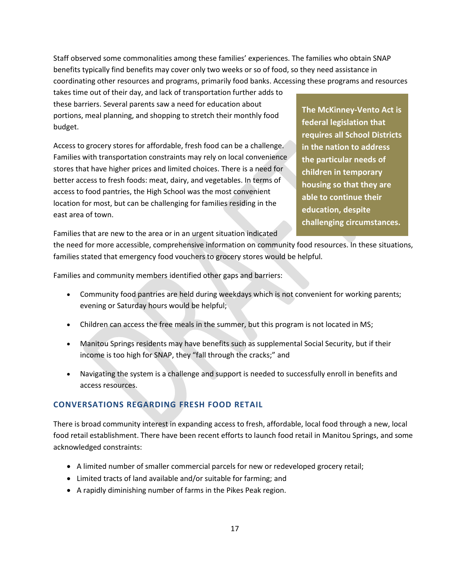Staff observed some commonalities among these families' experiences. The families who obtain SNAP benefits typically find benefits may cover only two weeks or so of food, so they need assistance in coordinating other resources and programs, primarily food banks. Accessing these programs and resources

takes time out of their day, and lack of transportation further adds to these barriers. Several parents saw a need for education about portions, meal planning, and shopping to stretch their monthly food budget.

Access to grocery stores for affordable, fresh food can be a challenge. Families with transportation constraints may rely on local convenience stores that have higher prices and limited choices. There is a need for better access to fresh foods: meat, dairy, and vegetables. In terms of access to food pantries, the High School was the most convenient location for most, but can be challenging for families residing in the east area of town.

Families that are new to the area or in an urgent situation indicated

**The McKinney-Vento Act is federal legislation that requires all School Districts in the nation to address the particular needs of children in temporary housing so that they are able to continue their education, despite challenging circumstances.**

the need for more accessible, comprehensive information on community food resources. In these situations, families stated that emergency food vouchers to grocery stores would be helpful.

Families and community members identified other gaps and barriers:

- Community food pantries are held during weekdays which is not convenient for working parents; evening or Saturday hours would be helpful;
- Children can access the free meals in the summer, but this program is not located in MS;
- Manitou Springs residents may have benefits such as supplemental Social Security, but if their income is too high for SNAP, they "fall through the cracks;" and
- Navigating the system is a challenge and support is needed to successfully enroll in benefits and access resources.

### **CONVERSATIONS REGARDING FRESH FOOD RETAIL**

There is broad community interest in expanding access to fresh, affordable, local food through a new, local food retail establishment. There have been recent efforts to launch food retail in Manitou Springs, and some acknowledged constraints:

- A limited number of smaller commercial parcels for new or redeveloped grocery retail;
- Limited tracts of land available and/or suitable for farming; and
- A rapidly diminishing number of farms in the Pikes Peak region.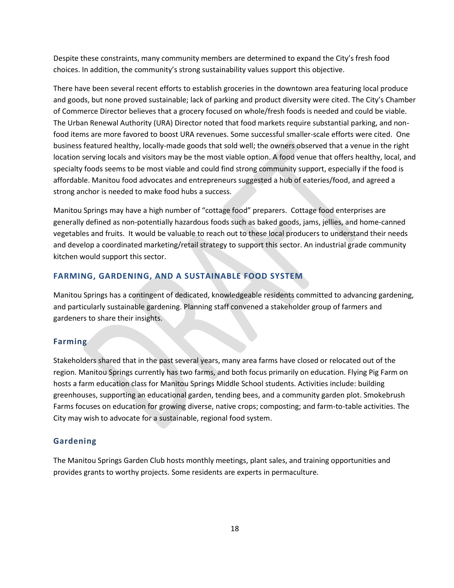Despite these constraints, many community members are determined to expand the City's fresh food choices. In addition, the community's strong sustainability values support this objective.

There have been several recent efforts to establish groceries in the downtown area featuring local produce and goods, but none proved sustainable; lack of parking and product diversity were cited. The City's Chamber of Commerce Director believes that a grocery focused on whole/fresh foods is needed and could be viable. The Urban Renewal Authority (URA) Director noted that food markets require substantial parking, and nonfood items are more favored to boost URA revenues. Some successful smaller-scale efforts were cited. One business featured healthy, locally-made goods that sold well; the owners observed that a venue in the right location serving locals and visitors may be the most viable option. A food venue that offers healthy, local, and specialty foods seems to be most viable and could find strong community support, especially if the food is affordable. Manitou food advocates and entrepreneurs suggested a hub of eateries/food, and agreed a strong anchor is needed to make food hubs a success.

Manitou Springs may have a high number of "cottage food" preparers. Cottage food enterprises are generally defined as non-potentially hazardous foods such as baked goods, jams, jellies, and home-canned vegetables and fruits. It would be valuable to reach out to these local producers to understand their needs and develop a coordinated marketing/retail strategy to support this sector. An industrial grade community kitchen would support this sector.

#### **FARMING, GARDENING, AND A SUSTAINABLE FOOD SYSTEM**

Manitou Springs has a contingent of dedicated, knowledgeable residents committed to advancing gardening, and particularly sustainable gardening. Planning staff convened a stakeholder group of farmers and gardeners to share their insights.

#### **Farming**

Stakeholders shared that in the past several years, many area farms have closed or relocated out of the region. Manitou Springs currently has two farms, and both focus primarily on education. Flying Pig Farm on hosts a farm education class for Manitou Springs Middle School students. Activities include: building greenhouses, supporting an educational garden, tending bees, and a community garden plot. Smokebrush Farms focuses on education for growing diverse, native crops; composting; and farm-to-table activities. The City may wish to advocate for a sustainable, regional food system.

#### **Gardening**

The Manitou Springs Garden Club hosts monthly meetings, plant sales, and training opportunities and provides grants to worthy projects. Some residents are experts in permaculture.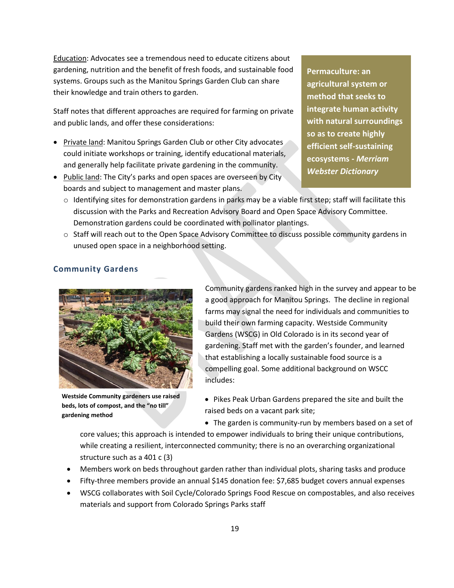Education: Advocates see a tremendous need to educate citizens about gardening, nutrition and the benefit of fresh foods, and sustainable food systems. Groups such as the Manitou Springs Garden Club can share their knowledge and train others to garden.

Staff notes that different approaches are required for farming on private and public lands, and offer these considerations:

- Private land: Manitou Springs Garden Club or other City advocates could initiate workshops or training, identify educational materials, and generally help facilitate private gardening in the community.
- Public land: The City's parks and open spaces are overseen by City boards and subject to management and master plans.

**Permaculture: an agricultural system or method that seeks to integrate human activity with natural surroundings so as to create highly efficient self-sustaining ecosystems -** *Merriam Webster Dictionary*

- $\circ$  Identifying sites for demonstration gardens in parks may be a viable first step; staff will facilitate this discussion with the Parks and Recreation Advisory Board and Open Space Advisory Committee. Demonstration gardens could be coordinated with pollinator plantings.
- o Staff will reach out to the Open Space Advisory Committee to discuss possible community gardens in unused open space in a neighborhood setting.



**Community Gardens**

**Westside Community gardeners use raised beds, lots of compost, and the "no till" gardening method**

Community gardens ranked high in the survey and appear to be a good approach for Manitou Springs. The decline in regional farms may signal the need for individuals and communities to build their own farming capacity. Westside Community Gardens (WSCG) in Old Colorado is in its second year of gardening. Staff met with the garden's founder, and learned that establishing a locally sustainable food source is a compelling goal. Some additional background on WSCC includes:

- Pikes Peak Urban Gardens prepared the site and built the raised beds on a vacant park site;
- The garden is community-run by members based on a set of

core values; this approach is intended to empower individuals to bring their unique contributions, while creating a resilient, interconnected community; there is no an overarching organizational structure such as a 401 c (3)

- Members work on beds throughout garden rather than individual plots, sharing tasks and produce
- Fifty-three members provide an annual \$145 donation fee: \$7,685 budget covers annual expenses
- WSCG collaborates with Soil Cycle/Colorado Springs Food Rescue on compostables, and also receives materials and support from Colorado Springs Parks staff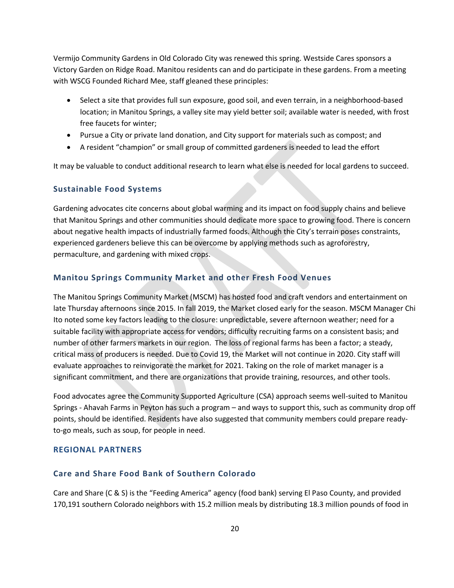Vermijo Community Gardens in Old Colorado City was renewed this spring. Westside Cares sponsors a Victory Garden on Ridge Road. Manitou residents can and do participate in these gardens. From a meeting with WSCG Founded Richard Mee, staff gleaned these principles:

- Select a site that provides full sun exposure, good soil, and even terrain, in a neighborhood-based location; in Manitou Springs, a valley site may yield better soil; available water is needed, with frost free faucets for winter;
- Pursue a City or private land donation, and City support for materials such as compost; and
- A resident "champion" or small group of committed gardeners is needed to lead the effort

It may be valuable to conduct additional research to learn what else is needed for local gardens to succeed.

#### **Sustainable Food Systems**

Gardening advocates cite concerns about global warming and its impact on food supply chains and believe that Manitou Springs and other communities should dedicate more space to growing food. There is concern about negative health impacts of industrially farmed foods. Although the City's terrain poses constraints, experienced gardeners believe this can be overcome by applying methods such as agroforestry, permaculture, and gardening with mixed crops.

#### **Manitou Springs Community Market and other Fresh Food Venues**

The Manitou Springs Community Market (MSCM) has hosted food and craft vendors and entertainment on late Thursday afternoons since 2015. In fall 2019, the Market closed early for the season. MSCM Manager Chi Ito noted some key factors leading to the closure: unpredictable, severe afternoon weather; need for a suitable facility with appropriate access for vendors; difficulty recruiting farms on a consistent basis; and number of other farmers markets in our region. The loss of regional farms has been a factor; a steady, critical mass of producers is needed. Due to Covid 19, the Market will not continue in 2020. City staff will evaluate approaches to reinvigorate the market for 2021. Taking on the role of market manager is a significant commitment, and there are organizations that provide training, resources, and other tools.

Food advocates agree the Community Supported Agriculture (CSA) approach seems well-suited to Manitou Springs - Ahavah Farms in Peyton has such a program – and ways to support this, such as community drop off points, should be identified. Residents have also suggested that community members could prepare readyto-go meals, such as soup, for people in need.

#### **REGIONAL PARTNERS**

#### **Care and Share Food Bank of Southern Colorado**

Care and Share (C & S) is the "Feeding America" agency (food bank) serving El Paso County, and provided 170,191 southern Colorado neighbors with 15.2 million meals by distributing 18.3 million pounds of food in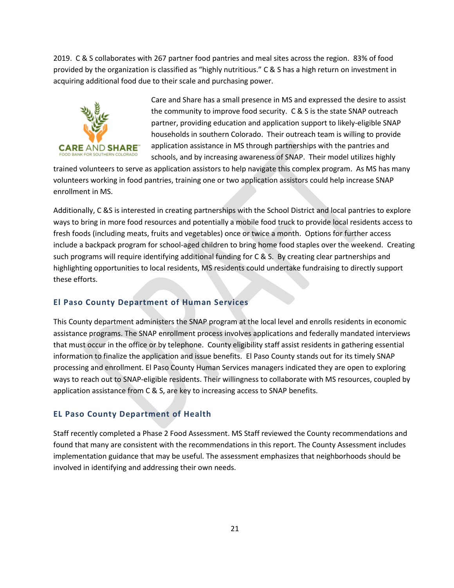2019. C & S collaborates with 267 partner food pantries and meal sites across the region. 83% of food provided by the organization is classified as "highly nutritious." C & S has a high return on investment in acquiring additional food due to their scale and purchasing power.



Care and Share has a small presence in MS and expressed the desire to assist the community to improve food security. C & S is the state SNAP outreach partner, providing education and application support to likely-eligible SNAP households in southern Colorado. Their outreach team is willing to provide application assistance in MS through partnerships with the pantries and schools, and by increasing awareness of SNAP. Their model utilizes highly

trained volunteers to serve as application assistors to help navigate this complex program. As MS has many volunteers working in food pantries, training one or two application assistors could help increase SNAP enrollment in MS.

Additionally, C &S is interested in creating partnerships with the School District and local pantries to explore ways to bring in more food resources and potentially a mobile food truck to provide local residents access to fresh foods (including meats, fruits and vegetables) once or twice a month. Options for further access include a backpack program for school-aged children to bring home food staples over the weekend. Creating such programs will require identifying additional funding for C & S. By creating clear partnerships and highlighting opportunities to local residents, MS residents could undertake fundraising to directly support these efforts.

### **El Paso County Department of Human Services**

This County department administers the SNAP program at the local level and enrolls residents in economic assistance programs. The SNAP enrollment process involves applications and federally mandated interviews that must occur in the office or by telephone. County eligibility staff assist residents in gathering essential information to finalize the application and issue benefits. El Paso County stands out for its timely SNAP processing and enrollment. El Paso County Human Services managers indicated they are open to exploring ways to reach out to SNAP-eligible residents. Their willingness to collaborate with MS resources, coupled by application assistance from C & S, are key to increasing access to SNAP benefits.

### **EL Paso County Department of Health**

Staff recently completed a Phase 2 Food Assessment. MS Staff reviewed the County recommendations and found that many are consistent with the recommendations in this report. The County Assessment includes implementation guidance that may be useful. The assessment emphasizes that neighborhoods should be involved in identifying and addressing their own needs.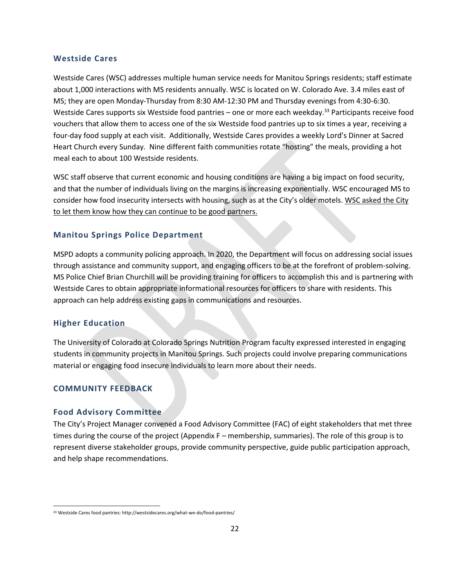#### **Westside Cares**

Westside Cares (WSC) addresses multiple human service needs for Manitou Springs residents; staff estimate about 1,000 interactions with MS residents annually. WSC is located on W. Colorado Ave. 3.4 miles east of MS; they are open Monday-Thursday from 8:30 AM-12:30 PM and Thursday evenings from 4:30-6:30. Westside Cares supports six Westside food pantries - one or more each weekday.<sup>33</sup> Participants receive food vouchers that allow them to access one of the six Westside food pantries up to six times a year, receiving a four-day food supply at each visit. Additionally, Westside Cares provides a weekly Lord's Dinner at Sacred Heart Church every Sunday. Nine different faith communities rotate "hosting" the meals, providing a hot meal each to about 100 Westside residents.

WSC staff observe that current economic and housing conditions are having a big impact on food security, and that the number of individuals living on the margins is increasing exponentially. WSC encouraged MS to consider how food insecurity intersects with housing, such as at the City's older motels. WSC asked the City to let them know how they can continue to be good partners.

#### **Manitou Springs Police Department**

MSPD adopts a community policing approach. In 2020, the Department will focus on addressing social issues through assistance and community support, and engaging officers to be at the forefront of problem-solving. MS Police Chief Brian Churchill will be providing training for officers to accomplish this and is partnering with Westside Cares to obtain appropriate informational resources for officers to share with residents. This approach can help address existing gaps in communications and resources.

#### **Higher Education**

The University of Colorado at Colorado Springs Nutrition Program faculty expressed interested in engaging students in community projects in Manitou Springs. Such projects could involve preparing communications material or engaging food insecure individuals to learn more about their needs.

#### **COMMUNITY FEEDBACK**

#### **Food Advisory Committee**

The City's Project Manager convened a Food Advisory Committee (FAC) of eight stakeholders that met three times during the course of the project (Appendix F – membership, summaries). The role of this group is to represent diverse stakeholder groups, provide community perspective, guide public participation approach, and help shape recommendations.

<sup>33</sup> Westside Cares food pantries: http://westsidecares.org/what-we-do/food-pantries/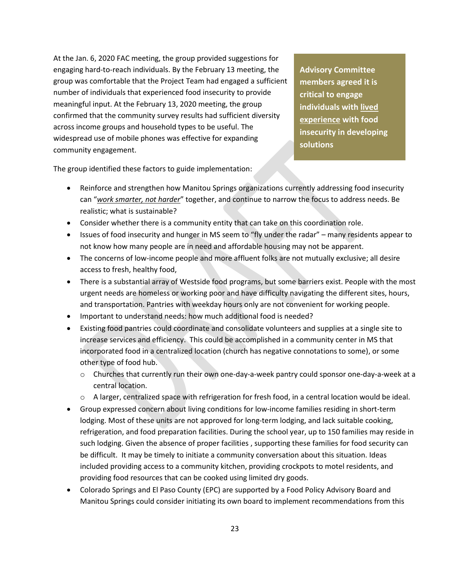At the Jan. 6, 2020 FAC meeting, the group provided suggestions for engaging hard-to-reach individuals. By the February 13 meeting, the group was comfortable that the Project Team had engaged a sufficient number of individuals that experienced food insecurity to provide meaningful input. At the February 13, 2020 meeting, the group confirmed that the community survey results had sufficient diversity across income groups and household types to be useful. The widespread use of mobile phones was effective for expanding community engagement.

**Advisory Committee members agreed it is critical to engage individuals with lived experience with food insecurity in developing solutions** 

The group identified these factors to guide implementation:

- Reinforce and strengthen how Manitou Springs organizations currently addressing food insecurity can "*work smarter, not harder*" together, and continue to narrow the focus to address needs. Be realistic; what is sustainable?
- Consider whether there is a community entity that can take on this coordination role.
- Issues of food insecurity and hunger in MS seem to "fly under the radar" many residents appear to not know how many people are in need and affordable housing may not be apparent.
- The concerns of low-income people and more affluent folks are not mutually exclusive; all desire access to fresh, healthy food,
- There is a substantial array of Westside food programs, but some barriers exist. People with the most urgent needs are homeless or working poor and have difficulty navigating the different sites, hours, and transportation. Pantries with weekday hours only are not convenient for working people.
- Important to understand needs: how much additional food is needed?
- Existing food pantries could coordinate and consolidate volunteers and supplies at a single site to increase services and efficiency. This could be accomplished in a community center in MS that incorporated food in a centralized location (church has negative connotations to some), or some other type of food hub.
	- o Churches that currently run their own one-day-a-week pantry could sponsor one-day-a-week at a central location.
	- $\circ$  A larger, centralized space with refrigeration for fresh food, in a central location would be ideal.
- Group expressed concern about living conditions for low-income families residing in short-term lodging. Most of these units are not approved for long-term lodging, and lack suitable cooking, refrigeration, and food preparation facilities. During the school year, up to 150 families may reside in such lodging. Given the absence of proper facilities , supporting these families for food security can be difficult. It may be timely to initiate a community conversation about this situation. Ideas included providing access to a community kitchen, providing crockpots to motel residents, and providing food resources that can be cooked using limited dry goods.
- Colorado Springs and El Paso County (EPC) are supported by a Food Policy Advisory Board and Manitou Springs could consider initiating its own board to implement recommendations from this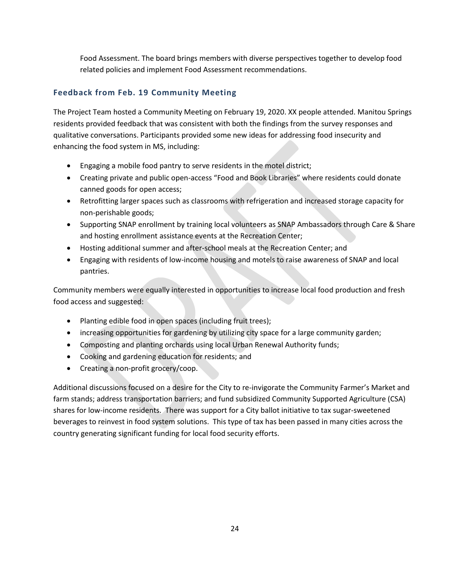Food Assessment. The board brings members with diverse perspectives together to develop food related policies and implement Food Assessment recommendations.

### **Feedback from Feb. 19 Community Meeting**

The Project Team hosted a Community Meeting on February 19, 2020. XX people attended. Manitou Springs residents provided feedback that was consistent with both the findings from the survey responses and qualitative conversations. Participants provided some new ideas for addressing food insecurity and enhancing the food system in MS, including:

- Engaging a mobile food pantry to serve residents in the motel district;
- Creating private and public open-access "Food and Book Libraries" where residents could donate canned goods for open access;
- Retrofitting larger spaces such as classrooms with refrigeration and increased storage capacity for non-perishable goods;
- Supporting SNAP enrollment by training local volunteers as SNAP Ambassadors through Care & Share and hosting enrollment assistance events at the Recreation Center;
- Hosting additional summer and after-school meals at the Recreation Center; and
- Engaging with residents of low-income housing and motels to raise awareness of SNAP and local pantries.

Community members were equally interested in opportunities to increase local food production and fresh food access and suggested:

- Planting edible food in open spaces (including fruit trees);
- increasing opportunities for gardening by utilizing city space for a large community garden;
- Composting and planting orchards using local Urban Renewal Authority funds;
- Cooking and gardening education for residents; and
- Creating a non-profit grocery/coop.

Additional discussions focused on a desire for the City to re-invigorate the Community Farmer's Market and farm stands; address transportation barriers; and fund subsidized Community Supported Agriculture (CSA) shares for low-income residents. There was support for a City ballot initiative to tax sugar-sweetened beverages to reinvest in food system solutions. This type of tax has been passed in many cities across the country generating significant funding for local food security efforts.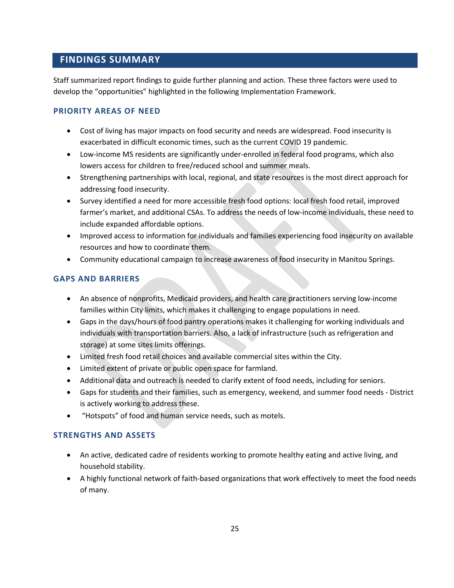### <span id="page-27-0"></span>**FINDINGS SUMMARY**

Staff summarized report findings to guide further planning and action. These three factors were used to develop the "opportunities" highlighted in the following Implementation Framework.

#### **PRIORITY AREAS OF NEED**

- Cost of living has major impacts on food security and needs are widespread. Food insecurity is exacerbated in difficult economic times, such as the current COVID 19 pandemic.
- Low-income MS residents are significantly under-enrolled in federal food programs, which also lowers access for children to free/reduced school and summer meals.
- Strengthening partnerships with local, regional, and state resources is the most direct approach for addressing food insecurity.
- Survey identified a need for more accessible fresh food options: local fresh food retail, improved farmer's market, and additional CSAs. To address the needs of low-income individuals, these need to include expanded affordable options.
- Improved access to information for individuals and families experiencing food insecurity on available resources and how to coordinate them.
- Community educational campaign to increase awareness of food insecurity in Manitou Springs.

### **GAPS AND BARRIERS**

- An absence of nonprofits, Medicaid providers, and health care practitioners serving low-income families within City limits, which makes it challenging to engage populations in need.
- Gaps in the days/hours of food pantry operations makes it challenging for working individuals and individuals with transportation barriers. Also, a lack of infrastructure (such as refrigeration and storage) at some sites limits offerings.
- Limited fresh food retail choices and available commercial sites within the City.
- Limited extent of private or public open space for farmland.
- Additional data and outreach is needed to clarify extent of food needs, including for seniors.
- Gaps for students and their families, such as emergency, weekend, and summer food needs District is actively working to address these.
- "Hotspots" of food and human service needs, such as motels.

### **STRENGTHS AND ASSETS**

- An active, dedicated cadre of residents working to promote healthy eating and active living, and household stability.
- A highly functional network of faith-based organizations that work effectively to meet the food needs of many.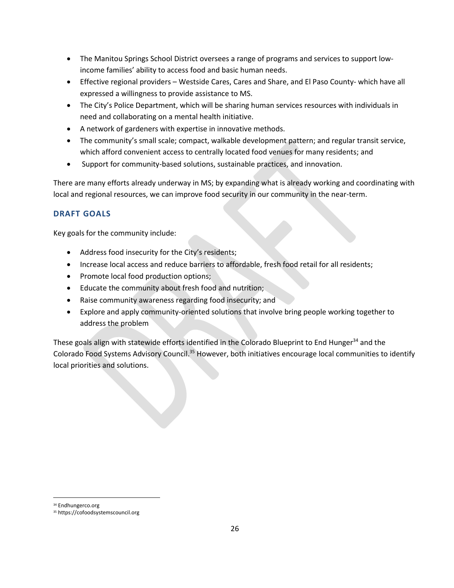- The Manitou Springs School District oversees a range of programs and services to support lowincome families' ability to access food and basic human needs.
- Effective regional providers Westside Cares, Cares and Share, and El Paso County- which have all expressed a willingness to provide assistance to MS.
- The City's Police Department, which will be sharing human services resources with individuals in need and collaborating on a mental health initiative.
- A network of gardeners with expertise in innovative methods.
- The community's small scale; compact, walkable development pattern; and regular transit service, which afford convenient access to centrally located food venues for many residents; and
- Support for community-based solutions, sustainable practices, and innovation.

There are many efforts already underway in MS; by expanding what is already working and coordinating with local and regional resources, we can improve food security in our community in the near-term.

### **DRAFT GOALS**

Key goals for the community include:

- Address food insecurity for the City's residents;
- Increase local access and reduce barriers to affordable, fresh food retail for all residents;
- Promote local food production options;
- Educate the community about fresh food and nutrition;
- Raise community awareness regarding food insecurity; and
- Explore and apply community-oriented solutions that involve bring people working together to address the problem

These goals align with statewide efforts identified in the Colorado Blueprint to End Hunger<sup>34</sup> and the Colorado Food Systems Advisory Council.<sup>35</sup> However, both initiatives encourage local communities to identify local priorities and solutions.

<sup>34</sup> Endhungerco.org

<sup>35</sup> https://cofoodsystemscouncil.org